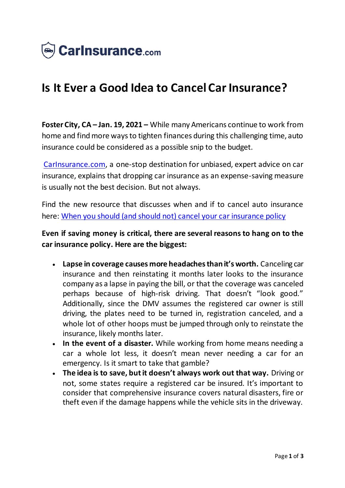

## **Is It Ever a Good Idea to Cancel Car Insurance?**

**Foster City, CA – Jan. 19, 2021 –** While many Americans continue to work from home and find more ways to tighten finances during this challenging time, auto insurance could be considered as a possible snip to the budget.

[CarInsurance.com](https://www.carinsurance.com/), a one-stop destination for unbiased, expert advice on car insurance, explains that dropping car insurance as an expense-saving measure is usually not the best decision. But not always.

Find the new resource that discusses when and if to cancel auto insurance here: [When you should \(and should not\) cancel your car insurance policy](https://www.carinsurance.com/when-to-cancel-auto-insurance/)

## **Even if saving money is critical, there are several reasons to hang on to the car insurance policy. Here are the biggest:**

- **Lapse in coverage causes more headaches than it's worth.** Canceling car insurance and then reinstating it months later looks to the insurance company as a lapse in paying the bill, or that the coverage was canceled perhaps because of high-risk driving. That doesn't "look good." Additionally, since the DMV assumes the registered car owner is still driving, the plates need to be turned in, registration canceled, and a whole lot of other hoops must be jumped through only to reinstate the insurance, likely months later.
- **In the event of a disaster.** While working from home means needing a car a whole lot less, it doesn't mean never needing a car for an emergency. Is it smart to take that gamble?
- **The idea is to save, but it doesn't always work out that way.** Driving or not, some states require a registered car be insured. It's important to consider that comprehensive insurance covers natural disasters, fire or theft even if the damage happens while the vehicle sits in the driveway.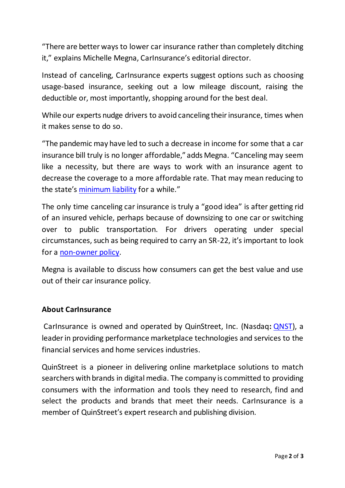"There are better ways to lower car insurance rather than completely ditching it," explains Michelle Megna, CarInsurance's editorial director.

Instead of canceling, CarInsurance experts suggest options such as choosing usage-based insurance, seeking out a low mileage discount, raising the deductible or, most importantly, shopping around for the best deal.

While our experts nudge drivers to avoid canceling their insurance, times when it makes sense to do so.

"The pandemic may have led to such a decrease in income for some that a car insurance bill truly is no longer affordable," adds Megna. "Canceling may seem like a necessity, but there are ways to work with an insurance agent to decrease the coverage to a more affordable rate. That may mean reducing to the state's [minimum liability](https://www.carinsurance.com/Articles/minimum-liability-car-insurance-requirements-by-state.aspx) for a while."

The only time canceling car insurance is truly a "good idea" is after getting rid of an insured vehicle, perhaps because of downsizing to one car or switching over to public transportation. For drivers operating under special circumstances, such as being required to carry an SR-22, it's important to look for a [non-owner policy](https://www.carinsurance.com/coverage-definition/non-owners-car-insurance.aspx).

Megna is available to discuss how consumers can get the best value and use out of their car insurance policy.

## **About CarInsurance**

CarInsurance is owned and operated by QuinStreet, Inc. (Nasdaq**:** [QNST\)](https://www.nasdaq.com/market-activity/stocks/qnst), a leader in providing performance marketplace technologies and services to the financial services and home services industries.

QuinStreet is a pioneer in delivering online marketplace solutions to match searchers with brands in digital media. The company is committed to providing consumers with the information and tools they need to research, find and select the products and brands that meet their needs. CarInsurance is a member of QuinStreet's expert research and publishing division.